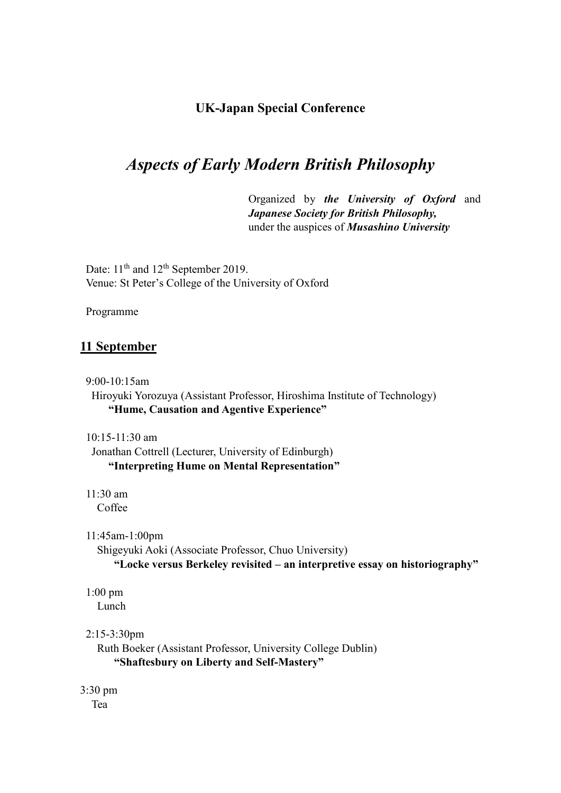# **UK-Japan Special Conference**

# *Aspects of Early Modern British Philosophy*

Organized by *the University of Oxford* and *Japanese Society for British Philosophy,* under the auspices of *Musashino University*

Date:  $11<sup>th</sup>$  and  $12<sup>th</sup>$  September 2019. Venue: St Peter's College of the University of Oxford

Programme

# **11 September**

9:00-10:15am Hiroyuki Yorozuya (Assistant Professor, Hiroshima Institute of Technology) **"Hume, Causation and Agentive Experience"**

10:15-11:30 am Jonathan Cottrell (Lecturer, University of Edinburgh) **"Interpreting Hume on Mental Representation"**

11:30 am Coffee

11:45am-1:00pm

 Shigeyuki Aoki (Associate Professor, Chuo University) **"Locke versus Berkeley revisited – an interpretive essay on historiography"**

1:00 pm

Lunch

# 2:15-3:30pm

 Ruth Boeker (Assistant Professor, University College Dublin) **"Shaftesbury on Liberty and Self-Mastery"**

3:30 pm Tea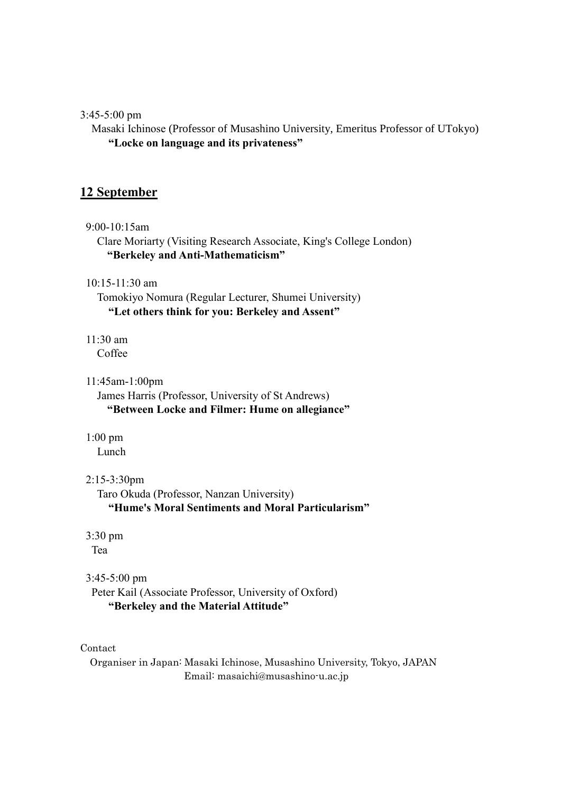### 3:45-5:00 pm

 Masaki Ichinose (Professor of Musashino University, Emeritus Professor of UTokyo) **"Locke on language and its privateness"**

# **12 September**

9:00-10:15am

 Clare Moriarty (Visiting Research Associate, King's College London) **"Berkeley and Anti-Mathematicism"** 

10:15-11:30 am

 Tomokiyo Nomura (Regular Lecturer, Shumei University)  **"Let others think for you: Berkeley and Assent"**

11:30 am Coffee

11:45am-1:00pm

James Harris (Professor, University of St Andrews) **"Between Locke and Filmer: Hume on allegiance"**

1:00 pm

Lunch

# 2:15-3:30pm

Taro Okuda (Professor, Nanzan University)  **"Hume's Moral Sentiments and Moral Particularism"**

3:30 pm

Tea

# 3:45-5:00 pm

Peter Kail (Associate Professor, University of Oxford) **"Berkeley and the Material Attitude"** 

Contact

Organiser in Japan: Masaki Ichinose, Musashino University, Tokyo, JAPAN Email: masaichi@musashino-u.ac.jp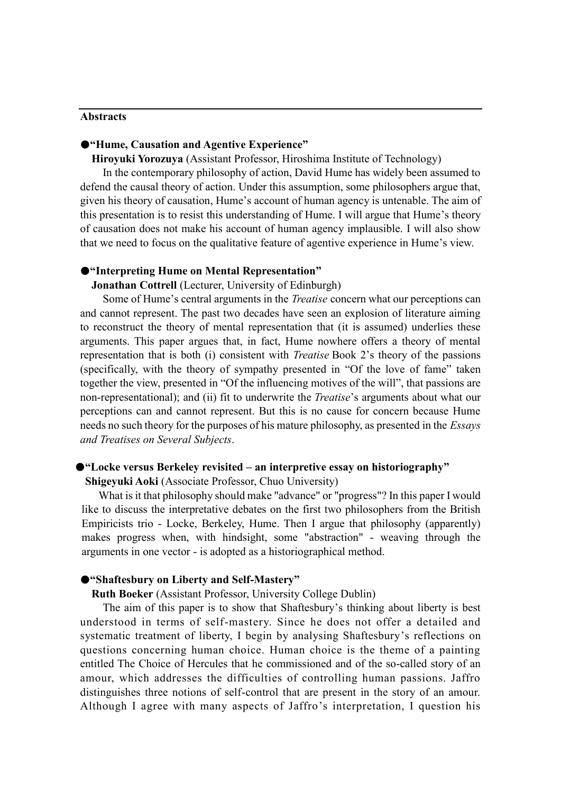#### **Abstracts**

### ●**"Hume, Causation and Agentive Experience"**

**Hiroyuki Yorozuya** (Assistant Professor, Hiroshima Institute of Technology)

In the contemporary philosophy of action, David Hume has widely been assumed to defend the causal theory of action. Under this assumption, some philosophers argue that, given his theory of causation, Hume's account of human agency is untenable. The aim of this presentation is to resist this understanding of Hume. I will argue that Hume's theory of causation does not make his account of human agency implausible. I will also show that we need to focus on the qualitative feature of agentive experience in Hume's view.

#### ●**"Interpreting Hume on Mental Representation"**

**Jonathan Cottrell** (Lecturer, University of Edinburgh)

Some of Hume's central arguments in the *Treatise* concern what our perceptions can and cannot represent. The past two decades have seen an explosion of literature aiming to reconstruct the theory of mental representation that (it is assumed) underlies these arguments. This paper argues that, in fact, Hume nowhere offers a theory of mental representation that is both (i) consistent with *Treatise* Book 2's theory of the passions (specifically, with the theory of sympathy presented in "Of the love of fame" taken together the view, presented in "Of the influencing motives of the will", that passions are non-representational); and (ii) fit to underwrite the *Treatise*'s arguments about what our perceptions can and cannot represent. But this is no cause for concern because Hume needs no such theory for the purposes of his mature philosophy, as presented in the *Essays and Treatises on Several Subjects*.

#### ●**"Locke versus Berkeley revisited – an interpretive essay on historiography"**

**Shigeyuki Aoki** (Associate Professor, Chuo University)

 What is it that philosophy should make "advance" or "progress"? In this paper I would like to discuss the interpretative debates on the first two philosophers from the British Empiricists trio - Locke, Berkeley, Hume. Then I argue that philosophy (apparently) makes progress when, with hindsight, some "abstraction" - weaving through the arguments in one vector - is adopted as a historiographical method.

### ●**"Shaftesbury on Liberty and Self-Mastery"**

**Ruth Boeker** (Assistant Professor, University College Dublin)

The aim of this paper is to show that Shaftesbury's thinking about liberty is best understood in terms of self-mastery. Since he does not offer a detailed and systematic treatment of liberty, I begin by analysing Shaftesbury's reflections on questions concerning human choice. Human choice is the theme of a painting entitled The Choice of Hercules that he commissioned and of the so-called story of an amour, which addresses the difficulties of controlling human passions. Jaffro distinguishes three notions of self-control that are present in the story of an amour. Although I agree with many aspects of Jaffro's interpretation, I question his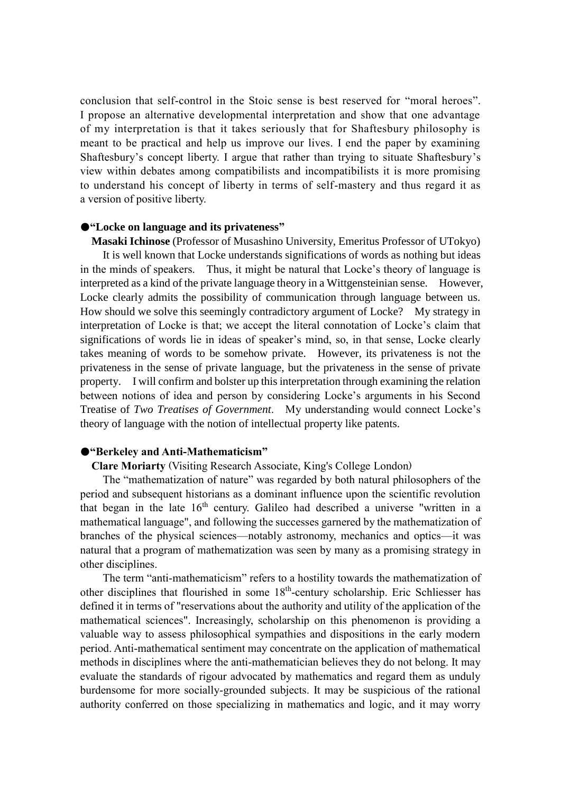conclusion that self-control in the Stoic sense is best reserved for "moral heroes". I propose an alternative developmental interpretation and show that one advantage of my interpretation is that it takes seriously that for Shaftesbury philosophy is meant to be practical and help us improve our lives. I end the paper by examining Shaftesbury's concept liberty. I argue that rather than trying to situate Shaftesbury's view within debates among compatibilists and incompatibilists it is more promising to understand his concept of liberty in terms of self-mastery and thus regard it as a version of positive liberty.

#### ●**"Locke on language and its privateness"**

**Masaki Ichinose** (Professor of Musashino University, Emeritus Professor of UTokyo) It is well known that Locke understands significations of words as nothing but ideas in the minds of speakers. Thus, it might be natural that Locke's theory of language is interpreted as a kind of the private language theory in a Wittgensteinian sense. However, Locke clearly admits the possibility of communication through language between us. How should we solve this seemingly contradictory argument of Locke? My strategy in interpretation of Locke is that; we accept the literal connotation of Locke's claim that significations of words lie in ideas of speaker's mind, so, in that sense, Locke clearly takes meaning of words to be somehow private. However, its privateness is not the privateness in the sense of private language, but the privateness in the sense of private property. I will confirm and bolster up this interpretation through examining the relation between notions of idea and person by considering Locke's arguments in his Second Treatise of *Two Treatises of Government*. My understanding would connect Locke's theory of language with the notion of intellectual property like patents.

#### ●**"Berkeley and Anti-Mathematicism"**

# **Clare Moriarty** (Visiting Research Associate, King's College London)

The "mathematization of nature" was regarded by both natural philosophers of the period and subsequent historians as a dominant influence upon the scientific revolution that began in the late 16<sup>th</sup> century. Galileo had described a universe "written in a mathematical language", and following the successes garnered by the mathematization of branches of the physical sciences—notably astronomy, mechanics and optics—it was natural that a program of mathematization was seen by many as a promising strategy in other disciplines.

The term "anti-mathematicism" refers to a hostility towards the mathematization of other disciplines that flourished in some 18<sup>th</sup>-century scholarship. Eric Schliesser has defined it in terms of "reservations about the authority and utility of the application of the mathematical sciences". Increasingly, scholarship on this phenomenon is providing a valuable way to assess philosophical sympathies and dispositions in the early modern period. Anti-mathematical sentiment may concentrate on the application of mathematical methods in disciplines where the anti-mathematician believes they do not belong. It may evaluate the standards of rigour advocated by mathematics and regard them as unduly burdensome for more socially-grounded subjects. It may be suspicious of the rational authority conferred on those specializing in mathematics and logic, and it may worry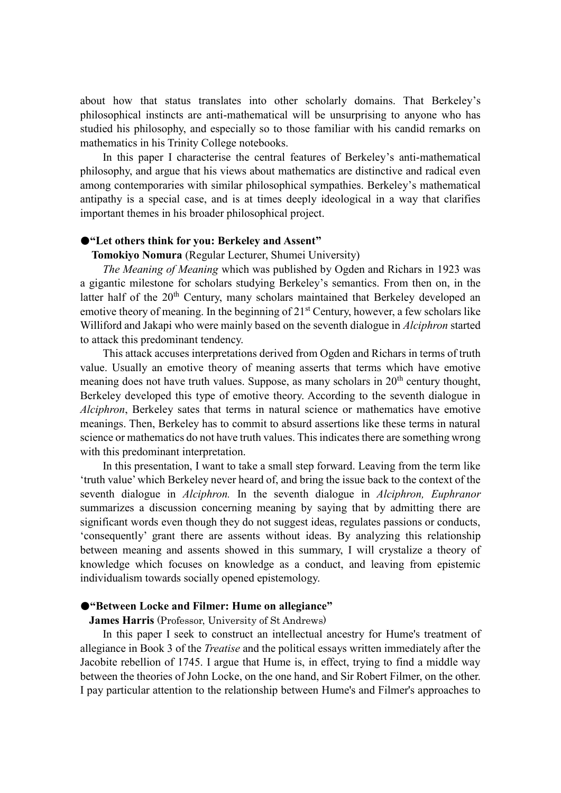about how that status translates into other scholarly domains. That Berkeley's philosophical instincts are anti-mathematical will be unsurprising to anyone who has studied his philosophy, and especially so to those familiar with his candid remarks on mathematics in his Trinity College notebooks.

In this paper I characterise the central features of Berkeley's anti-mathematical philosophy, and argue that his views about mathematics are distinctive and radical even among contemporaries with similar philosophical sympathies. Berkeley's mathematical antipathy is a special case, and is at times deeply ideological in a way that clarifies important themes in his broader philosophical project.

#### ●**"Let others think for you: Berkeley and Assent"**

### **Tomokiyo Nomura** (Regular Lecturer, Shumei University)

*The Meaning of Meaning* which was published by Ogden and Richars in 1923 was a gigantic milestone for scholars studying Berkeley's semantics. From then on, in the latter half of the  $20<sup>th</sup>$  Century, many scholars maintained that Berkeley developed an emotive theory of meaning. In the beginning of  $21<sup>st</sup>$  Century, however, a few scholars like Williford and Jakapi who were mainly based on the seventh dialogue in *Alciphron* started to attack this predominant tendency.

This attack accuses interpretations derived from Ogden and Richars in terms of truth value. Usually an emotive theory of meaning asserts that terms which have emotive meaning does not have truth values. Suppose, as many scholars in  $20<sup>th</sup>$  century thought, Berkeley developed this type of emotive theory. According to the seventh dialogue in *Alciphron*, Berkeley sates that terms in natural science or mathematics have emotive meanings. Then, Berkeley has to commit to absurd assertions like these terms in natural science or mathematics do not have truth values. This indicates there are something wrong with this predominant interpretation.

In this presentation, I want to take a small step forward. Leaving from the term like 'truth value' which Berkeley never heard of, and bring the issue back to the context of the seventh dialogue in *Alciphron.* In the seventh dialogue in *Alciphron, Euphranor*  summarizes a discussion concerning meaning by saying that by admitting there are significant words even though they do not suggest ideas, regulates passions or conducts, 'consequently' grant there are assents without ideas. By analyzing this relationship between meaning and assents showed in this summary, I will crystalize a theory of knowledge which focuses on knowledge as a conduct, and leaving from epistemic individualism towards socially opened epistemology.

#### ●**"Between Locke and Filmer: Hume on allegiance"**

#### **James Harris** (Professor, University of St Andrews)

In this paper I seek to construct an intellectual ancestry for Hume's treatment of allegiance in Book 3 of the *Treatise* and the political essays written immediately after the Jacobite rebellion of 1745. I argue that Hume is, in effect, trying to find a middle way between the theories of John Locke, on the one hand, and Sir Robert Filmer, on the other. I pay particular attention to the relationship between Hume's and Filmer's approaches to